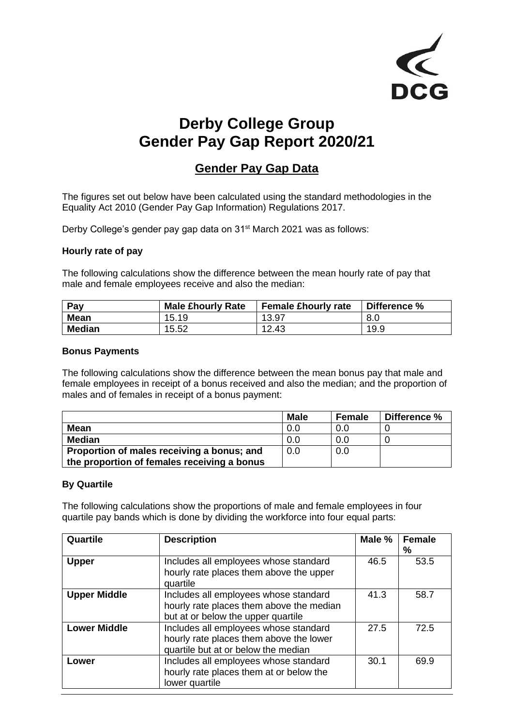

# **Derby College Group Gender Pay Gap Report 2020/21**

## **Gender Pay Gap Data**

The figures set out below have been calculated using the standard methodologies in the Equality Act 2010 (Gender Pay Gap Information) Regulations 2017.

Derby College's gender pay gap data on 31<sup>st</sup> March 2021 was as follows:

#### **Hourly rate of pay**

The following calculations show the difference between the mean hourly rate of pay that male and female employees receive and also the median:

| Pay           | <b>Male £hourly Rate</b> | <b>Female £hourly rate</b> | Difference % |
|---------------|--------------------------|----------------------------|--------------|
| <b>Mean</b>   | 15.19                    | 13.97                      | 8.0          |
| <b>Median</b> | 15.52                    | 12.43                      | 19.9         |

#### **Bonus Payments**

The following calculations show the difference between the mean bonus pay that male and female employees in receipt of a bonus received and also the median; and the proportion of males and of females in receipt of a bonus payment:

|                                             | Male | <b>Female</b> | Difference % |
|---------------------------------------------|------|---------------|--------------|
| Mean                                        | 0.0  | 0.0           |              |
| <b>Median</b>                               | 0.0  | 0.0           |              |
| Proportion of males receiving a bonus; and  | 0.0  | 0.0           |              |
| the proportion of females receiving a bonus |      |               |              |

#### **By Quartile**

The following calculations show the proportions of male and female employees in four quartile pay bands which is done by dividing the workforce into four equal parts:

| Quartile            | <b>Description</b>                                                                                                      | Male % | <b>Female</b><br>℅ |
|---------------------|-------------------------------------------------------------------------------------------------------------------------|--------|--------------------|
| <b>Upper</b>        | Includes all employees whose standard<br>hourly rate places them above the upper<br>quartile                            | 46.5   | 53.5               |
| <b>Upper Middle</b> | Includes all employees whose standard<br>hourly rate places them above the median<br>but at or below the upper quartile | 41.3   | 58.7               |
| <b>Lower Middle</b> | Includes all employees whose standard<br>hourly rate places them above the lower<br>quartile but at or below the median | 27.5   | 72.5               |
| Lower               | Includes all employees whose standard<br>hourly rate places them at or below the<br>lower quartile                      | 30.1   | 69.9               |